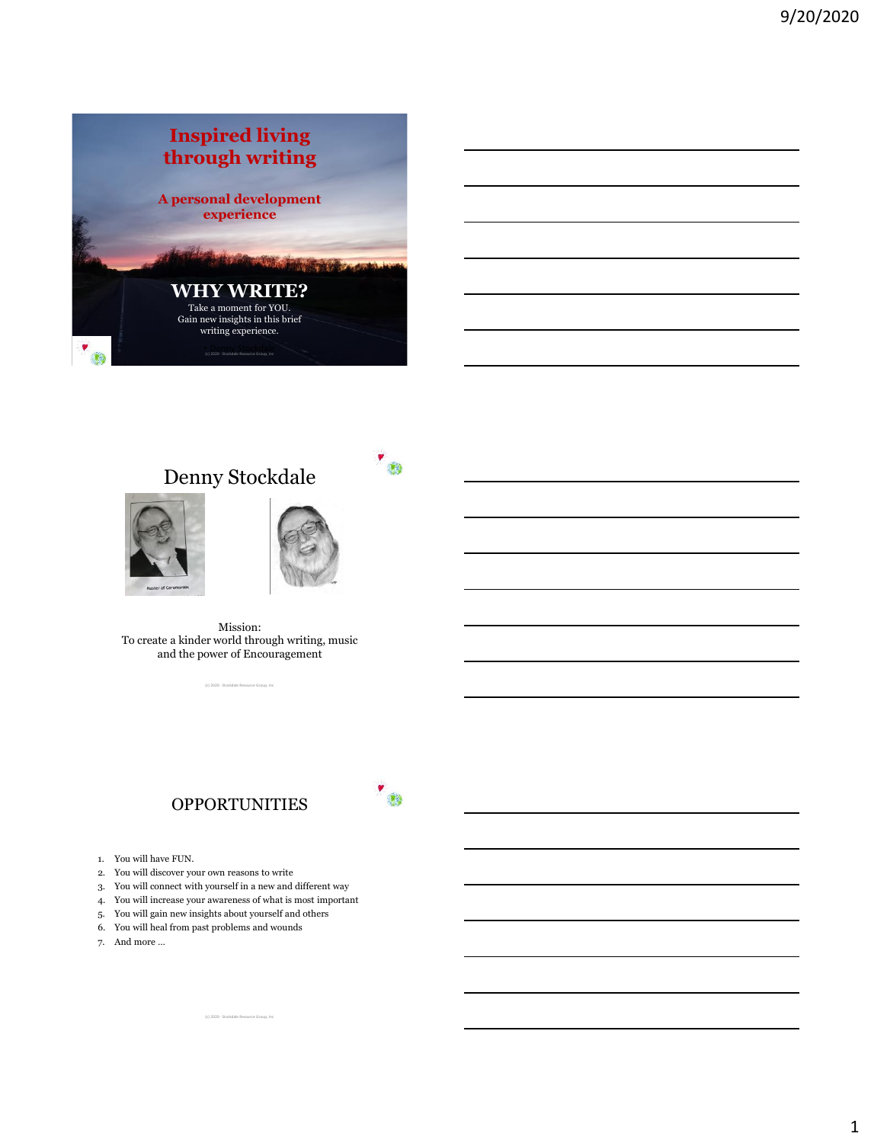

# Denny Stockdale





 $^{\prime}$ 

Mission: To create a kinder world through writing, music and the power of Encouragement

(c) 2020 - Stockdale Resource Group, Inc

## **OPPORTUNITIES**

- 1. You will have FUN.
- 2. You will discover your own reasons to write
- 3. You will connect with yourself in a new and different way

(c) 2020 - Stockdale Resource Group, Inc

- 4. You will increase your awareness of what is most important
- 5. You will gain new insights about yourself and others
- 6. You will heal from past problems and wounds
- 7. And more …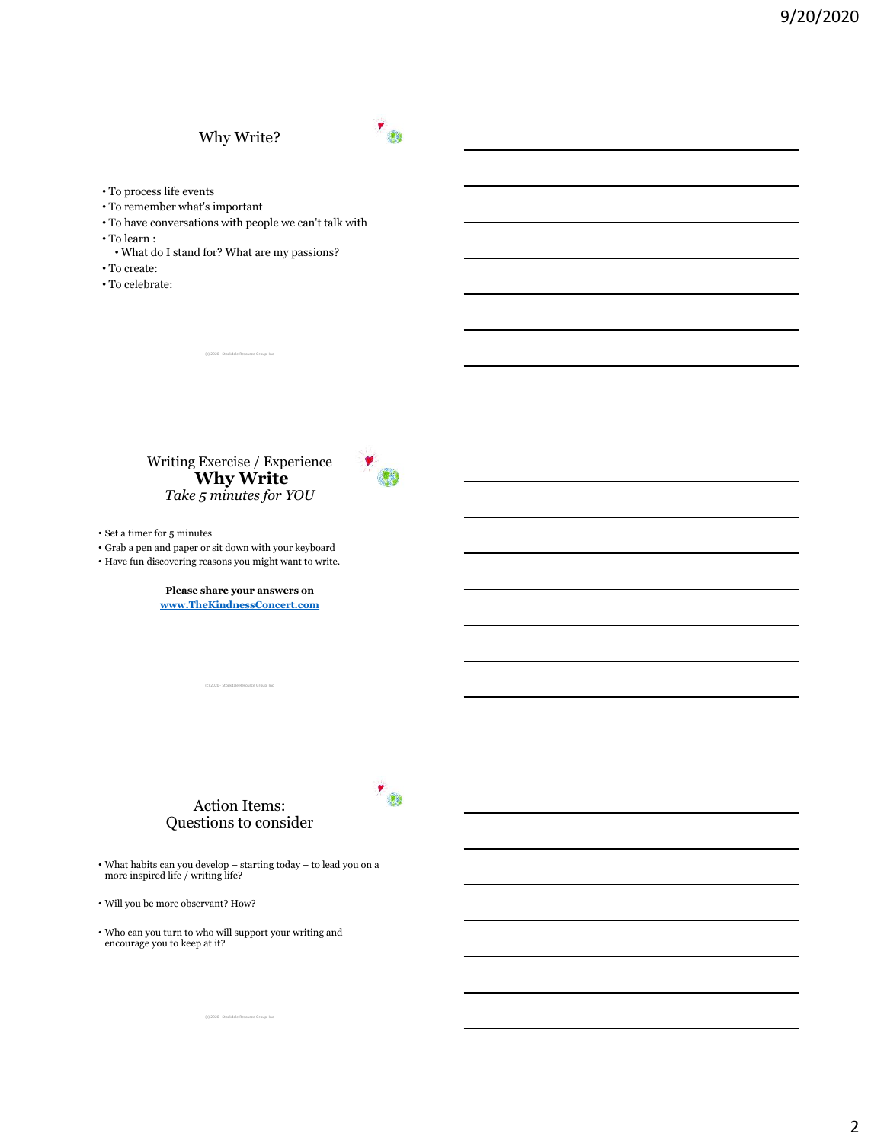## Why Write?



- To process life events
- To remember what's important
- To have conversations with people we can't talk with
- To learn :
- What do I stand for? What are my passions?

(c) 2020 - Stockdale Resour

- To create:
- To celebrate:

Writing Exercise / Experience **Why Write** *Take 5 minutes for YOU*



 $^{\prime}$ 

• Set a timer for 5 minutes

• Grab a pen and paper or sit down with your keyboard

• Have fun discovering reasons you might want to write.

**Please share your answers on [www.TheKindnessConcert.com](http://www.thekindnessconcert.com/)**

(c) 2020 - Stockdale Resource Group, Inc

## Action Items: Questions to consider

• What habits can you develop – starting today – to lead you on a more inspired life / writing life?

(c) 2020 - Stockdale Resource Group, Inc

• Will you be more observant? How?

• Who can you turn to who will support your writing and encourage you to keep at it?